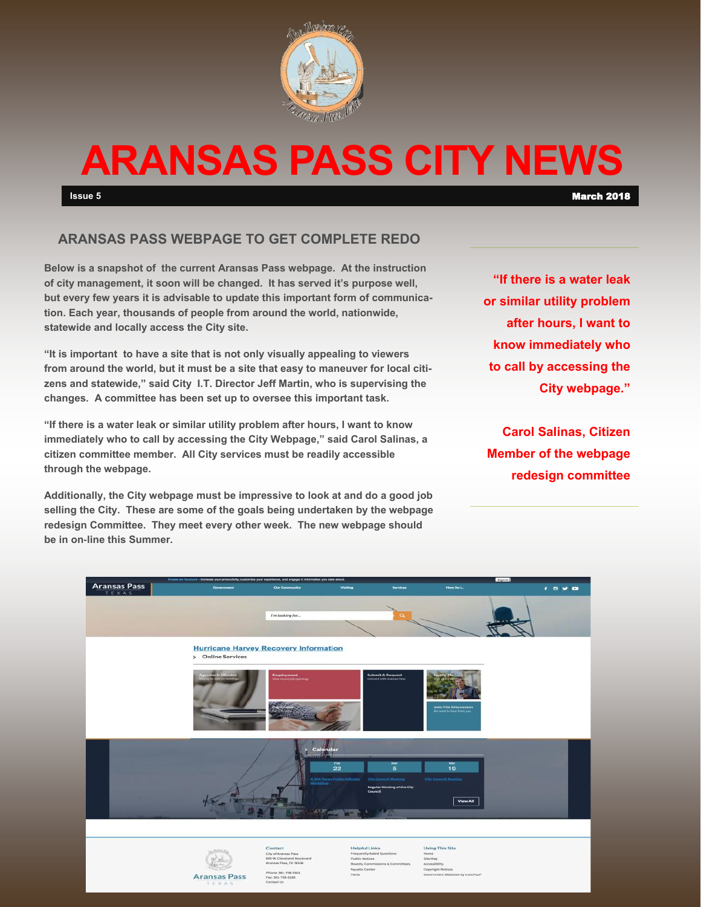

# **ARANSAS PASS CITY NEWS**

**Issue 5** March 2018

## **ARANSAS PASS WEBPAGE TO GET COMPLETE REDO**

**Below is a snapshot of the current Aransas Pass webpage. At the instruction of city management, it soon will be changed. It has served it's purpose well, but every few years it is advisable to update this important form of communication. Each year, thousands of people from around the world, nationwide, statewide and locally access the City site.** 

**"It is important to have a site that is not only visually appealing to viewers from around the world, but it must be a site that easy to maneuver for local citizens and statewide," said City I.T. Director Jeff Martin, who is supervising the changes. A committee has been set up to oversee this important task.** 

**"If there is a water leak or similar utility problem after hours, I want to know immediately who to call by accessing the City Webpage," said Carol Salinas, a citizen committee member. All City services must be readily accessible through the webpage.**

**Additionally, the City webpage must be impressive to look at and do a good job selling the City. These are some of the goals being undertaken by the webpage redesign Committee. They meet every other week. The new webpage should be in on-line this Summer.** 

**"If there is a water leak or similar utility problem after hours, I want to know immediately who to call by accessing the City webpage."**

**Carol Salinas, Citizen Member of the webpage redesign committee**

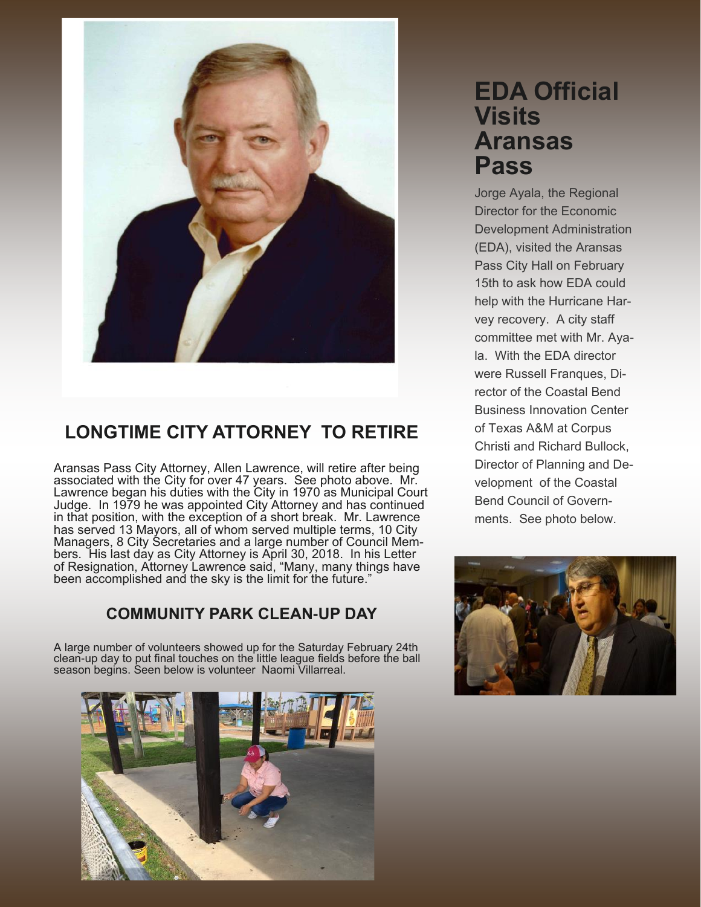

# **LONGTIME CITY ATTORNEY TO RETIRE**

Aransas Pass City Attorney, Allen Lawrence, will retire after being associated with the City for over 47 years. See photo above. Mr. Lawrence began his duties with the City in 1970 as Municipal Court Judge. In 1979 he was appointed City Attorney and has continued in that position, with the exception of a short break. Mr. Lawrence has served 13 Mayors, all of whom served multiple terms, 10 City Managers, 8 City Secretaries and a large number of Council Members. His last day as City Attorney is April 30, 2018. In his Letter of Resignation, Attorney Lawrence said, "Many, many things have been accomplished and the sky is the limit for the future."

## **COMMUNITY PARK CLEAN-UP DAY**

A large number of volunteers showed up for the Saturday February 24th clean-up day to put final touches on the little league fields before the ball season begins. Seen below is volunteer Naomi Villarreal.



# **EDA Official Visits Aransas Pass**

Jorge Ayala, the Regional Director for the Economic Development Administration (EDA), visited the Aransas Pass City Hall on February 15th to ask how EDA could help with the Hurricane Harvey recovery. A city staff committee met with Mr. Ayala. With the EDA director were Russell Franques, Director of the Coastal Bend Business Innovation Center of Texas A&M at Corpus Christi and Richard Bullock, Director of Planning and Development of the Coastal Bend Council of Governments. See photo below.

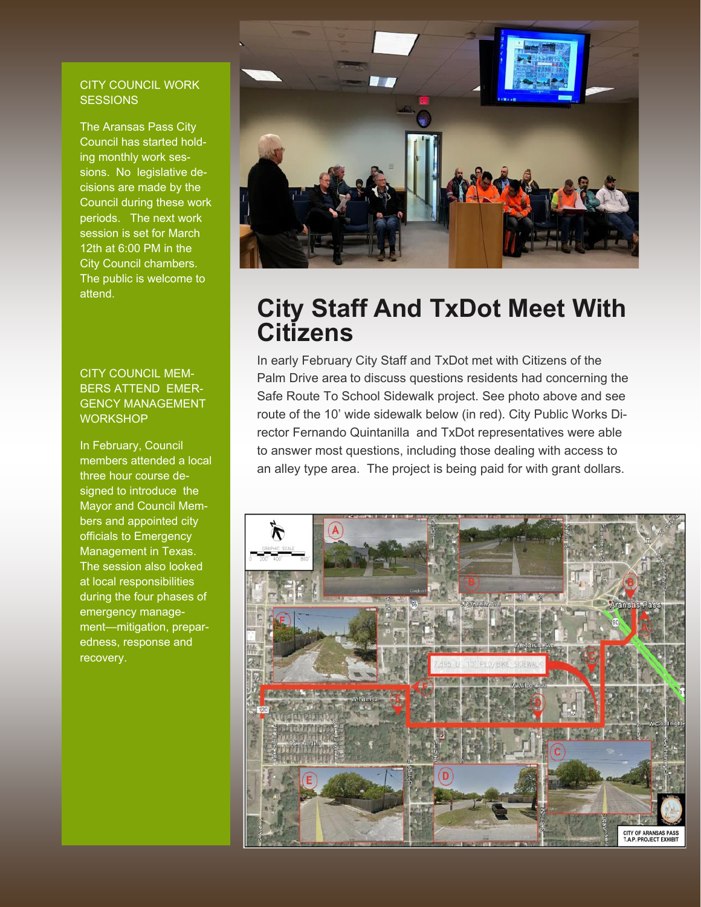#### CITY COUNCIL WORK **SESSIONS**

The Aransas Pass City Council has started holding monthly work sessions. No legislative decisions are made by the Council during these work periods. The next work session is set for March 12th at 6:00 PM in the City Council chambers. The public is welcome to attend.

#### CITY COUNCIL MEM-BERS ATTEND EMER-GENCY MANAGEMENT **WORKSHOP**

In February, Council members attended a local three hour course designed to introduce the Mayor and Council Members and appointed city officials to Emergency Management in Texas. The session also looked at local responsibilities during the four phases of emergency management—mitigation, preparedness, response and recovery.



# **City Staff And TxDot Meet With Citizens**

In early February City Staff and TxDot met with Citizens of the Palm Drive area to discuss questions residents had concerning the Safe Route To School Sidewalk project. See photo above and see route of the 10' wide sidewalk below (in red). City Public Works Director Fernando Quintanilla and TxDot representatives were able to answer most questions, including those dealing with access to an alley type area. The project is being paid for with grant dollars.